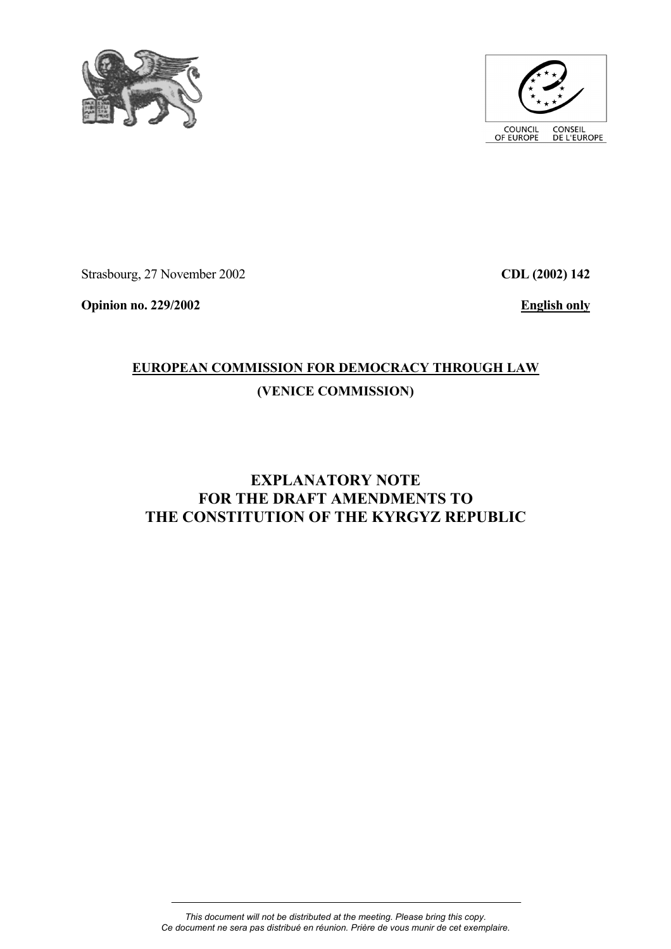



Strasbourg, 27 November 2002

**CDL (2002) 142**

**Opinion no. 229/2002** 

**English only**

# **EUROPEAN COMMISSION FOR DEMOCRACY THROUGH LAW (VENICE COMMISSION)**

# **EXPLANATORY NOTE FOR THE DRAFT AMENDMENTS TO THE CONSTITUTION OF THE KYRGYZ REPUBLIC**

*This document will not be distributed at the meeting. Please bring this copy. Ce document ne sera pas distribué en réunion. Prière de vous munir de cet exemplaire.*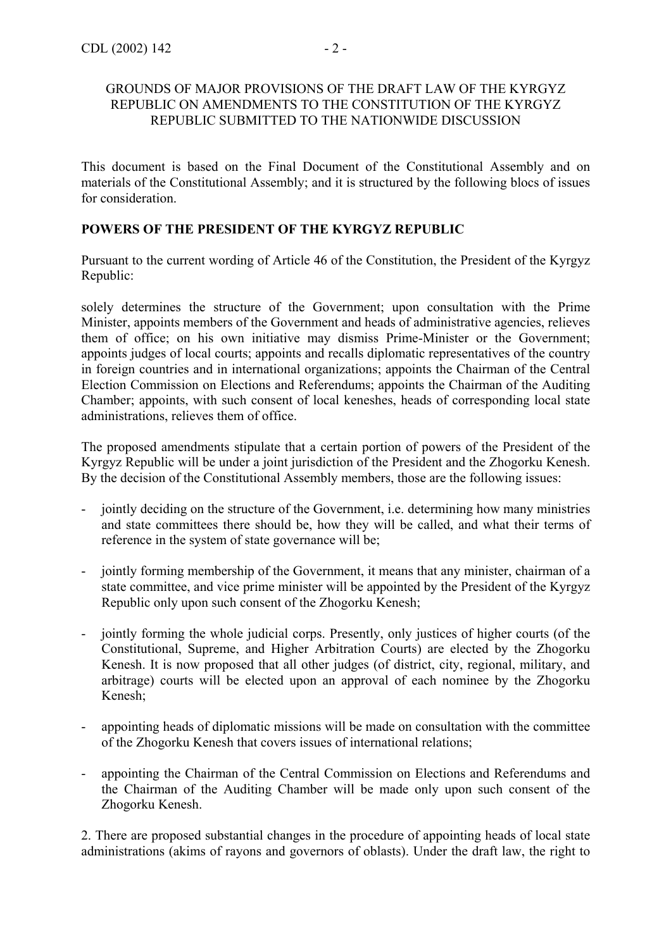### GROUNDS OF MAJOR PROVISIONS OF THE DRAFT LAW OF THE KYRGYZ REPUBLIC ON AMENDMENTS TO THE CONSTITUTION OF THE KYRGYZ REPUBLIC SUBMITTED TO THE NATIONWIDE DISCUSSION

This document is based on the Final Document of the Constitutional Assembly and on materials of the Constitutional Assembly; and it is structured by the following blocs of issues for consideration.

# **POWERS OF THE PRESIDENT OF THE KYRGYZ REPUBLIC**

Pursuant to the current wording of Article 46 of the Constitution, the President of the Kyrgyz Republic:

solely determines the structure of the Government; upon consultation with the Prime Minister, appoints members of the Government and heads of administrative agencies, relieves them of office; on his own initiative may dismiss Prime-Minister or the Government; appoints judges of local courts; appoints and recalls diplomatic representatives of the country in foreign countries and in international organizations; appoints the Chairman of the Central Election Commission on Elections and Referendums; appoints the Chairman of the Auditing Chamber; appoints, with such consent of local keneshes, heads of corresponding local state administrations, relieves them of office.

The proposed amendments stipulate that a certain portion of powers of the President of the Kyrgyz Republic will be under a joint jurisdiction of the President and the Zhogorku Kenesh. By the decision of the Constitutional Assembly members, those are the following issues:

- jointly deciding on the structure of the Government, i.e. determining how many ministries and state committees there should be, how they will be called, and what their terms of reference in the system of state governance will be;
- jointly forming membership of the Government, it means that any minister, chairman of a state committee, and vice prime minister will be appointed by the President of the Kyrgyz Republic only upon such consent of the Zhogorku Kenesh;
- jointly forming the whole judicial corps. Presently, only justices of higher courts (of the Constitutional, Supreme, and Higher Arbitration Courts) are elected by the Zhogorku Kenesh. It is now proposed that all other judges (of district, city, regional, military, and arbitrage) courts will be elected upon an approval of each nominee by the Zhogorku Kenesh;
- appointing heads of diplomatic missions will be made on consultation with the committee of the Zhogorku Kenesh that covers issues of international relations;
- appointing the Chairman of the Central Commission on Elections and Referendums and the Chairman of the Auditing Chamber will be made only upon such consent of the Zhogorku Kenesh.

2. There are proposed substantial changes in the procedure of appointing heads of local state administrations (akims of rayons and governors of oblasts). Under the draft law, the right to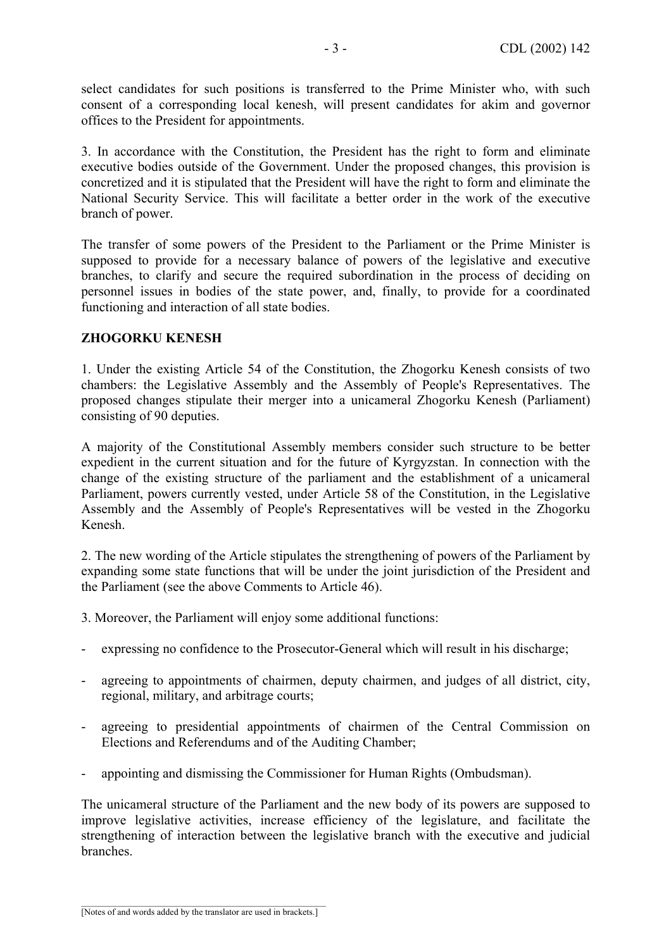select candidates for such positions is transferred to the Prime Minister who, with such consent of a corresponding local kenesh, will present candidates for akim and governor offices to the President for appointments.

3. In accordance with the Constitution, the President has the right to form and eliminate executive bodies outside of the Government. Under the proposed changes, this provision is concretized and it is stipulated that the President will have the right to form and eliminate the National Security Service. This will facilitate a better order in the work of the executive branch of power.

The transfer of some powers of the President to the Parliament or the Prime Minister is supposed to provide for a necessary balance of powers of the legislative and executive branches, to clarify and secure the required subordination in the process of deciding on personnel issues in bodies of the state power, and, finally, to provide for a coordinated functioning and interaction of all state bodies.

# **ZHOGORKU KENESH**

1. Under the existing Article 54 of the Constitution, the Zhogorku Kenesh consists of two chambers: the Legislative Assembly and the Assembly of People's Representatives. The proposed changes stipulate their merger into a unicameral Zhogorku Kenesh (Parliament) consisting of 90 deputies.

A majority of the Constitutional Assembly members consider such structure to be better expedient in the current situation and for the future of Kyrgyzstan. In connection with the change of the existing structure of the parliament and the establishment of a unicameral Parliament, powers currently vested, under Article 58 of the Constitution, in the Legislative Assembly and the Assembly of People's Representatives will be vested in the Zhogorku Kenesh.

2. The new wording of the Article stipulates the strengthening of powers of the Parliament by expanding some state functions that will be under the joint jurisdiction of the President and the Parliament (see the above Comments to Article 46).

- 3. Moreover, the Parliament will enjoy some additional functions:
- expressing no confidence to the Prosecutor-General which will result in his discharge;
- agreeing to appointments of chairmen, deputy chairmen, and judges of all district, city, regional, military, and arbitrage courts;
- agreeing to presidential appointments of chairmen of the Central Commission on Elections and Referendums and of the Auditing Chamber;
- appointing and dismissing the Commissioner for Human Rights (Ombudsman).

The unicameral structure of the Parliament and the new body of its powers are supposed to improve legislative activities, increase efficiency of the legislature, and facilitate the strengthening of interaction between the legislative branch with the executive and judicial branches.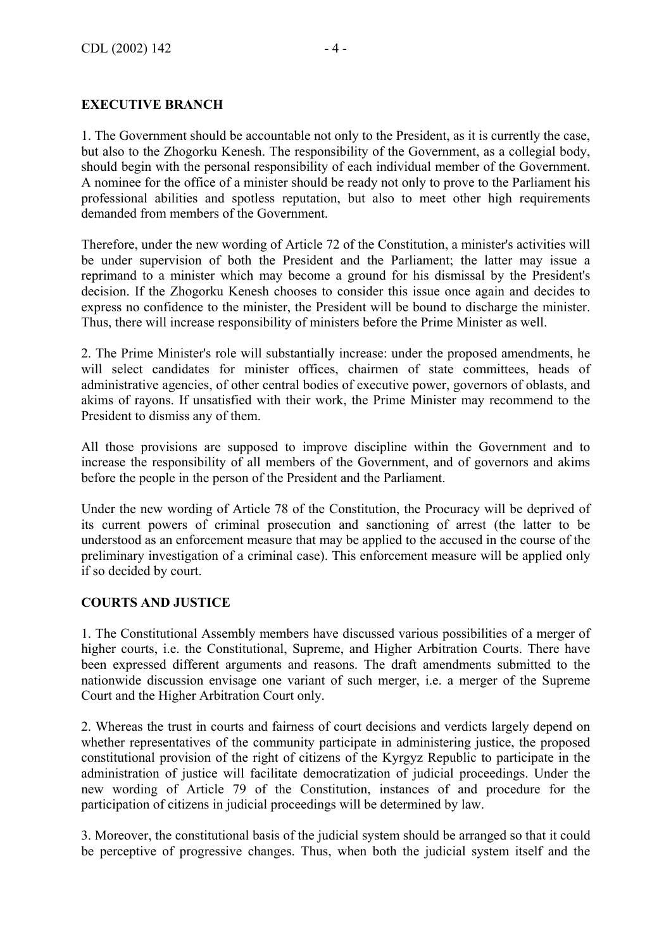# **EXECUTIVE BRANCH**

1. The Government should be accountable not only to the President, as it is currently the case, but also to the Zhogorku Kenesh. The responsibility of the Government, as a collegial body, should begin with the personal responsibility of each individual member of the Government. A nominee for the office of a minister should be ready not only to prove to the Parliament his professional abilities and spotless reputation, but also to meet other high requirements demanded from members of the Government.

Therefore, under the new wording of Article 72 of the Constitution, a minister's activities will be under supervision of both the President and the Parliament; the latter may issue a reprimand to a minister which may become a ground for his dismissal by the President's decision. If the Zhogorku Kenesh chooses to consider this issue once again and decides to express no confidence to the minister, the President will be bound to discharge the minister. Thus, there will increase responsibility of ministers before the Prime Minister as well.

2. The Prime Minister's role will substantially increase: under the proposed amendments, he will select candidates for minister offices, chairmen of state committees, heads of administrative agencies, of other central bodies of executive power, governors of oblasts, and akims of rayons. If unsatisfied with their work, the Prime Minister may recommend to the President to dismiss any of them.

All those provisions are supposed to improve discipline within the Government and to increase the responsibility of all members of the Government, and of governors and akims before the people in the person of the President and the Parliament.

Under the new wording of Article 78 of the Constitution, the Procuracy will be deprived of its current powers of criminal prosecution and sanctioning of arrest (the latter to be understood as an enforcement measure that may be applied to the accused in the course of the preliminary investigation of a criminal case). This enforcement measure will be applied only if so decided by court.

#### **COURTS AND JUSTICE**

1. The Constitutional Assembly members have discussed various possibilities of a merger of higher courts, i.e. the Constitutional, Supreme, and Higher Arbitration Courts. There have been expressed different arguments and reasons. The draft amendments submitted to the nationwide discussion envisage one variant of such merger, i.e. a merger of the Supreme Court and the Higher Arbitration Court only.

2. Whereas the trust in courts and fairness of court decisions and verdicts largely depend on whether representatives of the community participate in administering justice, the proposed constitutional provision of the right of citizens of the Kyrgyz Republic to participate in the administration of justice will facilitate democratization of judicial proceedings. Under the new wording of Article 79 of the Constitution, instances of and procedure for the participation of citizens in judicial proceedings will be determined by law.

3. Moreover, the constitutional basis of the judicial system should be arranged so that it could be perceptive of progressive changes. Thus, when both the judicial system itself and the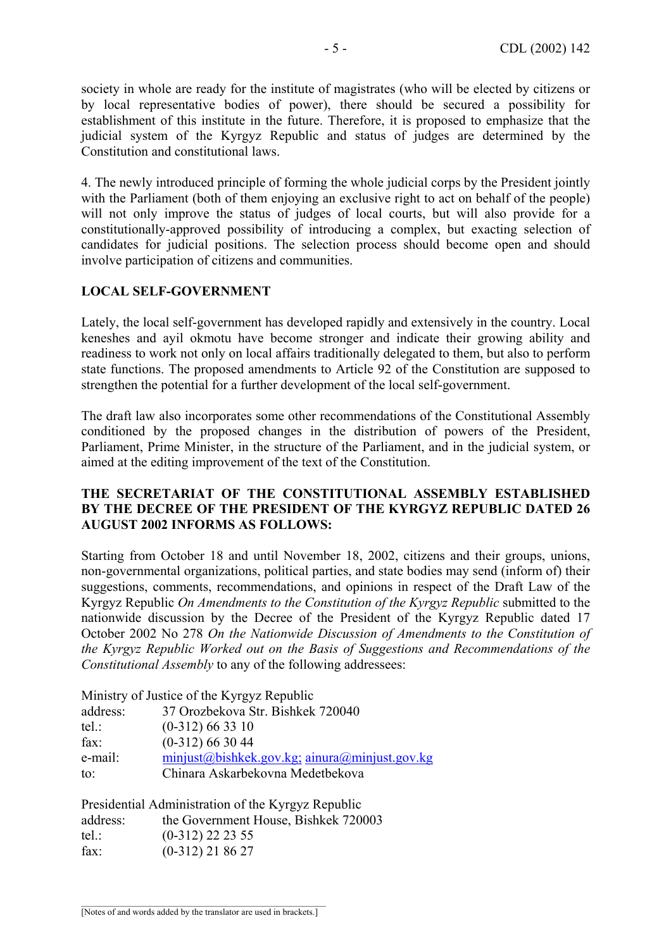society in whole are ready for the institute of magistrates (who will be elected by citizens or by local representative bodies of power), there should be secured a possibility for establishment of this institute in the future. Therefore, it is proposed to emphasize that the judicial system of the Kyrgyz Republic and status of judges are determined by the Constitution and constitutional laws.

4. The newly introduced principle of forming the whole judicial corps by the President jointly with the Parliament (both of them enjoying an exclusive right to act on behalf of the people) will not only improve the status of judges of local courts, but will also provide for a constitutionally-approved possibility of introducing a complex, but exacting selection of candidates for judicial positions. The selection process should become open and should involve participation of citizens and communities.

### **LOCAL SELF-GOVERNMENT**

Lately, the local self-government has developed rapidly and extensively in the country. Local keneshes and ayil okmotu have become stronger and indicate their growing ability and readiness to work not only on local affairs traditionally delegated to them, but also to perform state functions. The proposed amendments to Article 92 of the Constitution are supposed to strengthen the potential for a further development of the local self-government.

The draft law also incorporates some other recommendations of the Constitutional Assembly conditioned by the proposed changes in the distribution of powers of the President, Parliament, Prime Minister, in the structure of the Parliament, and in the judicial system, or aimed at the editing improvement of the text of the Constitution.

### **THE SECRETARIAT OF THE CONSTITUTIONAL ASSEMBLY ESTABLISHED BY THE DECREE OF THE PRESIDENT OF THE KYRGYZ REPUBLIC DATED 26 AUGUST 2002 INFORMS AS FOLLOWS:**

Starting from October 18 and until November 18, 2002, citizens and their groups, unions, non-governmental organizations, political parties, and state bodies may send (inform of) their suggestions, comments, recommendations, and opinions in respect of the Draft Law of the Kyrgyz Republic *On Amendments to the Constitution of the Kyrgyz Republic* submitted to the nationwide discussion by the Decree of the President of the Kyrgyz Republic dated 17 October 2002 No 278 *On the Nationwide Discussion of Amendments to the Constitution of the Kyrgyz Republic Worked out on the Basis of Suggestions and Recommendations of the Constitutional Assembly* to any of the following addressees:

Ministry of Justice of the Kyrgyz Republic

| address:      | 37 Orozbekova Str. Bishkek 720040              |
|---------------|------------------------------------------------|
| tel:          | $(0-312)$ 66 33 10                             |
| $\text{fax}:$ | $(0-312)$ 66 30 44                             |
| e-mail:       | $minjust@biskek.gov.kg; ainura@minjust.gov.kg$ |
| to:           | Chinara Askarbekovna Medetbekova               |
|               |                                                |

|          | Presidential Administration of the Kyrgyz Republic |
|----------|----------------------------------------------------|
| address: | the Government House, Bishkek 720003               |
| $tel.$ : | $(0-312)$ 22 23 55                                 |
| fax:     | $(0-312)$ 21 86 27                                 |